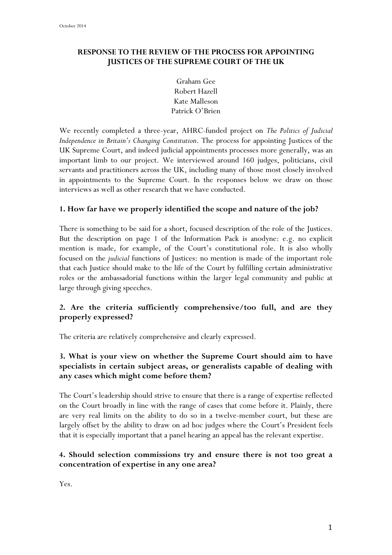#### **RESPONSE TO THE REVIEW OF THE PROCESS FOR APPOINTING JUSTICES OF THE SUPREME COURT OF THE UK**

Graham Gee Robert Hazell Kate Malleson Patrick O'Brien

We recently completed a three-year, AHRC-funded project on *The Politics of Judicial Independence in Britain's Changing Constitution*. The process for appointing Justices of the UK Supreme Court, and indeed judicial appointments processes more generally, was an important limb to our project. We interviewed around 160 judges, politicians, civil servants and practitioners across the UK, including many of those most closely involved in appointments to the Supreme Court. In the responses below we draw on those interviews as well as other research that we have conducted.

#### **1. How far have we properly identified the scope and nature of the job?**

There is something to be said for a short, focused description of the role of the Justices. But the description on page 1 of the Information Pack is anodyne: e.g. no explicit mention is made, for example, of the Court's constitutional role. It is also wholly focused on the *judicial* functions of Justices: no mention is made of the important role that each Justice should make to the life of the Court by fulfilling certain administrative roles or the ambassadorial functions within the larger legal community and public at large through giving speeches.

## **2. Are the criteria sufficiently comprehensive/too full, and are they properly expressed?**

The criteria are relatively comprehensive and clearly expressed.

## **3. What is your view on whether the Supreme Court should aim to have specialists in certain subject areas, or generalists capable of dealing with any cases which might come before them?**

The Court's leadership should strive to ensure that there is a range of expertise reflected on the Court broadly in line with the range of cases that come before it. Plainly, there are very real limits on the ability to do so in a twelve-member court, but these are largely offset by the ability to draw on ad hoc judges where the Court's President feels that it is especially important that a panel hearing an appeal has the relevant expertise.

#### **4. Should selection commissions try and ensure there is not too great a concentration of expertise in any one area?**

Yes.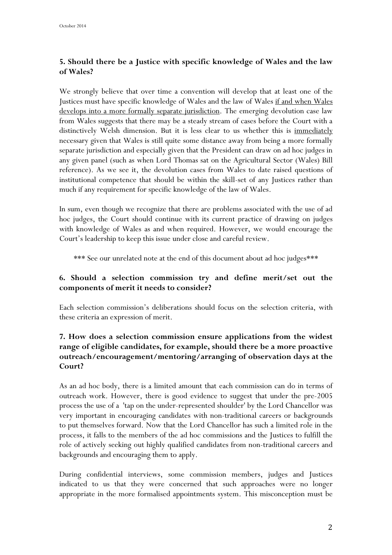# **5. Should there be a Justice with specific knowledge of Wales and the law of Wales?**

We strongly believe that over time a convention will develop that at least one of the Justices must have specific knowledge of Wales and the law of Wales if and when Wales develops into a more formally separate jurisdiction. The emerging devolution case law from Wales suggests that there may be a steady stream of cases before the Court with a distinctively Welsh dimension. But it is less clear to us whether this is <u>immediately</u> necessary given that Wales is still quite some distance away from being a more formally separate jurisdiction and especially given that the President can draw on ad hoc judges in any given panel (such as when Lord Thomas sat on the Agricultural Sector (Wales) Bill reference). As we see it, the devolution cases from Wales to date raised questions of institutional competence that should be within the skill-set of any Justices rather than much if any requirement for specific knowledge of the law of Wales.

In sum, even though we recognize that there are problems associated with the use of ad hoc judges, the Court should continue with its current practice of drawing on judges with knowledge of Wales as and when required. However, we would encourage the Court's leadership to keep this issue under close and careful review.

\*\*\* See our unrelated note at the end of this document about ad hoc judges\*\*\*

## **6. Should a selection commission try and define merit/set out the components of merit it needs to consider?**

Each selection commission's deliberations should focus on the selection criteria, with these criteria an expression of merit.

## **7. How does a selection commission ensure applications from the widest range of eligible candidates, for example, should there be a more proactive outreach/encouragement/mentoring/arranging of observation days at the Court?**

As an ad hoc body, there is a limited amount that each commission can do in terms of outreach work. However, there is good evidence to suggest that under the pre-2005 process the use of a 'tap on the under-represented shoulder' by the Lord Chancellor was very important in encouraging candidates with non-traditional careers or backgrounds to put themselves forward. Now that the Lord Chancellor has such a limited role in the process, it falls to the members of the ad hoc commissions and the Justices to fulfill the role of actively seeking out highly qualified candidates from non-traditional careers and backgrounds and encouraging them to apply.

During confidential interviews, some commission members, judges and Justices indicated to us that they were concerned that such approaches were no longer appropriate in the more formalised appointments system. This misconception must be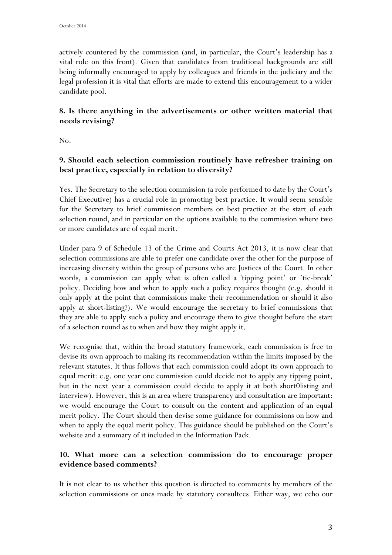actively countered by the commission (and, in particular, the Court's leadership has a vital role on this front). Given that candidates from traditional backgrounds are still being informally encouraged to apply by colleagues and friends in the judiciary and the legal profession it is vital that efforts are made to extend this encouragement to a wider candidate pool.

## **8. Is there anything in the advertisements or other written material that needs revising?**

No.

#### **9. Should each selection commission routinely have refresher training on best practice, especially in relation to diversity?**

Yes. The Secretary to the selection commission (a role performed to date by the Court's Chief Executive) has a crucial role in promoting best practice. It would seem sensible for the Secretary to brief commission members on best practice at the start of each selection round, and in particular on the options available to the commission where two or more candidates are of equal merit.

Under para 9 of Schedule 13 of the Crime and Courts Act 2013, it is now clear that selection commissions are able to prefer one candidate over the other for the purpose of increasing diversity within the group of persons who are Justices of the Court. In other words, a commission can apply what is often called a 'tipping point' or 'tie-break' policy. Deciding how and when to apply such a policy requires thought (e.g. should it only apply at the point that commissions make their recommendation or should it also apply at short-listing?). We would encourage the secretary to brief commissions that they are able to apply such a policy and encourage them to give thought before the start of a selection round as to when and how they might apply it.

We recognise that, within the broad statutory framework, each commission is free to devise its own approach to making its recommendation within the limits imposed by the relevant statutes. It thus follows that each commission could adopt its own approach to equal merit: e.g. one year one commission could decide not to apply any tipping point, but in the next year a commission could decide to apply it at both short0listing and interview). However, this is an area where transparency and consultation are important: we would encourage the Court to consult on the content and application of an equal merit policy. The Court should then devise some guidance for commissions on how and when to apply the equal merit policy. This guidance should be published on the Court's website and a summary of it included in the Information Pack.

## **10. What more can a selection commission do to encourage proper evidence based comments?**

It is not clear to us whether this question is directed to comments by members of the selection commissions or ones made by statutory consultees. Either way, we echo our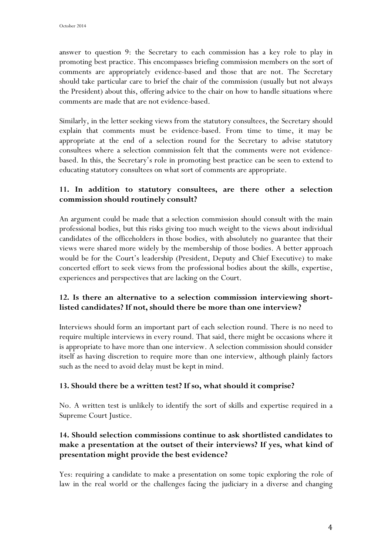answer to question 9: the Secretary to each commission has a key role to play in promoting best practice. This encompasses briefing commission members on the sort of comments are appropriately evidence-based and those that are not. The Secretary should take particular care to brief the chair of the commission (usually but not always the President) about this, offering advice to the chair on how to handle situations where comments are made that are not evidence-based.

Similarly, in the letter seeking views from the statutory consultees, the Secretary should explain that comments must be evidence-based. From time to time, it may be appropriate at the end of a selection round for the Secretary to advise statutory consultees where a selection commission felt that the comments were not evidencebased. In this, the Secretary's role in promoting best practice can be seen to extend to educating statutory consultees on what sort of comments are appropriate.

#### **11. In addition to statutory consultees, are there other a selection commission should routinely consult?**

An argument could be made that a selection commission should consult with the main professional bodies, but this risks giving too much weight to the views about individual candidates of the officeholders in those bodies, with absolutely no guarantee that their views were shared more widely by the membership of those bodies. A better approach would be for the Court's leadership (President, Deputy and Chief Executive) to make concerted effort to seek views from the professional bodies about the skills, expertise, experiences and perspectives that are lacking on the Court.

## **12. Is there an alternative to a selection commission interviewing shortlisted candidates? If not, should there be more than one interview?**

Interviews should form an important part of each selection round. There is no need to require multiple interviews in every round. That said, there might be occasions where it is appropriate to have more than one interview. A selection commission should consider itself as having discretion to require more than one interview, although plainly factors such as the need to avoid delay must be kept in mind.

## **13. Should there be a written test? If so, what should it comprise?**

No. A written test is unlikely to identify the sort of skills and expertise required in a Supreme Court Justice.

## **14. Should selection commissions continue to ask shortlisted candidates to make a presentation at the outset of their interviews? If yes, what kind of presentation might provide the best evidence?**

Yes: requiring a candidate to make a presentation on some topic exploring the role of law in the real world or the challenges facing the judiciary in a diverse and changing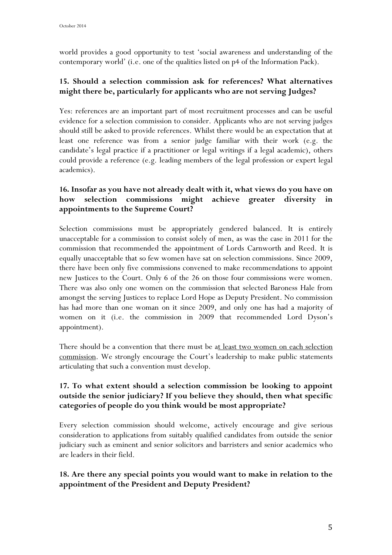world provides a good opportunity to test 'social awareness and understanding of the contemporary world' (i.e. one of the qualities listed on p4 of the Information Pack).

## **15. Should a selection commission ask for references? What alternatives might there be, particularly for applicants who are not serving Judges?**

Yes: references are an important part of most recruitment processes and can be useful evidence for a selection commission to consider. Applicants who are not serving judges should still be asked to provide references. Whilst there would be an expectation that at least one reference was from a senior judge familiar with their work (e.g. the candidate's legal practice if a practitioner or legal writings if a legal academic), others could provide a reference (e.g. leading members of the legal profession or expert legal academics).

## **16. Insofar as you have not already dealt with it, what views do you have on how selection commissions might achieve greater diversity in appointments to the Supreme Court?**

Selection commissions must be appropriately gendered balanced. It is entirely unacceptable for a commission to consist solely of men, as was the case in 2011 for the commission that recommended the appointment of Lords Carnworth and Reed. It is equally unacceptable that so few women have sat on selection commissions. Since 2009, there have been only five commissions convened to make recommendations to appoint new Justices to the Court. Only 6 of the 26 on those four commissions were women. There was also only one women on the commission that selected Baroness Hale from amongst the serving Justices to replace Lord Hope as Deputy President. No commission has had more than one woman on it since 2009, and only one has had a majority of women on it (i.e. the commission in 2009 that recommended Lord Dyson's appointment).

There should be a convention that there must be at least two women on each selection commission. We strongly encourage the Court's leadership to make public statements articulating that such a convention must develop.

#### **17. To what extent should a selection commission be looking to appoint outside the senior judiciary? If you believe they should, then what specific categories of people do you think would be most appropriate?**

Every selection commission should welcome, actively encourage and give serious consideration to applications from suitably qualified candidates from outside the senior judiciary such as eminent and senior solicitors and barristers and senior academics who are leaders in their field.

## **18. Are there any special points you would want to make in relation to the appointment of the President and Deputy President?**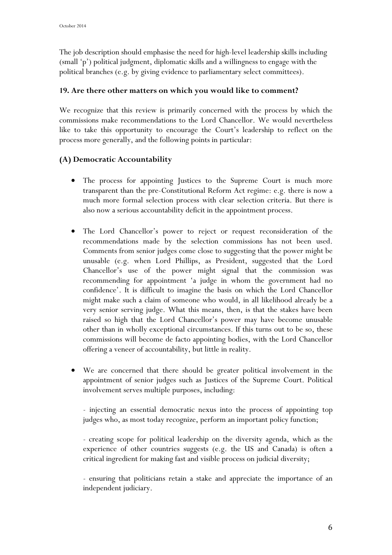The job description should emphasise the need for high-level leadership skills including (small 'p') political judgment, diplomatic skills and a willingness to engage with the political branches (e.g. by giving evidence to parliamentary select committees).

#### **19. Are there other matters on which you would like to comment?**

We recognize that this review is primarily concerned with the process by which the commissions make recommendations to the Lord Chancellor. We would nevertheless like to take this opportunity to encourage the Court's leadership to reflect on the process more generally, and the following points in particular:

## **(A) Democratic Accountability**

- The process for appointing Justices to the Supreme Court is much more transparent than the pre-Constitutional Reform Act regime: e.g. there is now a much more formal selection process with clear selection criteria. But there is also now a serious accountability deficit in the appointment process.
- The Lord Chancellor's power to reject or request reconsideration of the recommendations made by the selection commissions has not been used. Comments from senior judges come close to suggesting that the power might be unusable (e.g. when Lord Phillips, as President, suggested that the Lord Chancellor's use of the power might signal that the commission was recommending for appointment 'a judge in whom the government had no confidence'. It is difficult to imagine the basis on which the Lord Chancellor might make such a claim of someone who would, in all likelihood already be a very senior serving judge. What this means, then, is that the stakes have been raised so high that the Lord Chancellor's power may have become unusable other than in wholly exceptional circumstances. If this turns out to be so, these commissions will become de facto appointing bodies, with the Lord Chancellor offering a veneer of accountability, but little in reality.
- We are concerned that there should be greater political involvement in the appointment of senior judges such as Justices of the Supreme Court. Political involvement serves multiple purposes, including:

- injecting an essential democratic nexus into the process of appointing top judges who, as most today recognize, perform an important policy function;

- creating scope for political leadership on the diversity agenda, which as the experience of other countries suggests (e.g. the US and Canada) is often a critical ingredient for making fast and visible process on judicial diversity;

- ensuring that politicians retain a stake and appreciate the importance of an independent judiciary.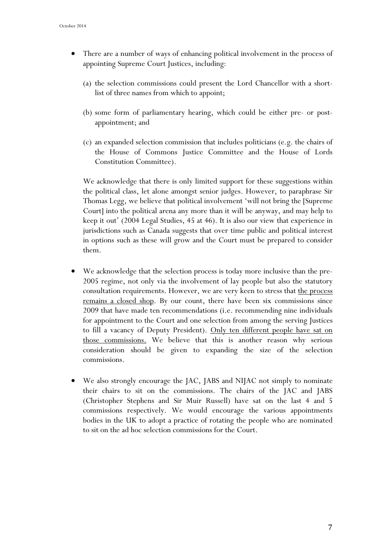- There are a number of ways of enhancing political involvement in the process of appointing Supreme Court Justices, including:
	- (a) the selection commissions could present the Lord Chancellor with a shortlist of three names from which to appoint;
	- (b) some form of parliamentary hearing, which could be either pre- or postappointment; and
	- (c) an expanded selection commission that includes politicians (e.g. the chairs of the House of Commons Justice Committee and the House of Lords Constitution Committee).

We acknowledge that there is only limited support for these suggestions within the political class, let alone amongst senior judges. However, to paraphrase Sir Thomas Legg, we believe that political involvement 'will not bring the [Supreme Court] into the political arena any more than it will be anyway, and may help to keep it out' (2004 Legal Studies, 45 at 46). It is also our view that experience in jurisdictions such as Canada suggests that over time public and political interest in options such as these will grow and the Court must be prepared to consider them.

- We acknowledge that the selection process is today more inclusive than the pre-2005 regime, not only via the involvement of lay people but also the statutory consultation requirements. However, we are very keen to stress that the process remains a closed shop. By our count, there have been six commissions since 2009 that have made ten recommendations (i.e. recommending nine individuals for appointment to the Court and one selection from among the serving Justices to fill a vacancy of Deputy President). Only ten different people have sat on those commissions. We believe that this is another reason why serious consideration should be given to expanding the size of the selection commissions.
- We also strongly encourage the JAC, JABS and NIJAC not simply to nominate their chairs to sit on the commissions. The chairs of the JAC and JABS (Christopher Stephens and Sir Muir Russell) have sat on the last 4 and 5 commissions respectively. We would encourage the various appointments bodies in the UK to adopt a practice of rotating the people who are nominated to sit on the ad hoc selection commissions for the Court.